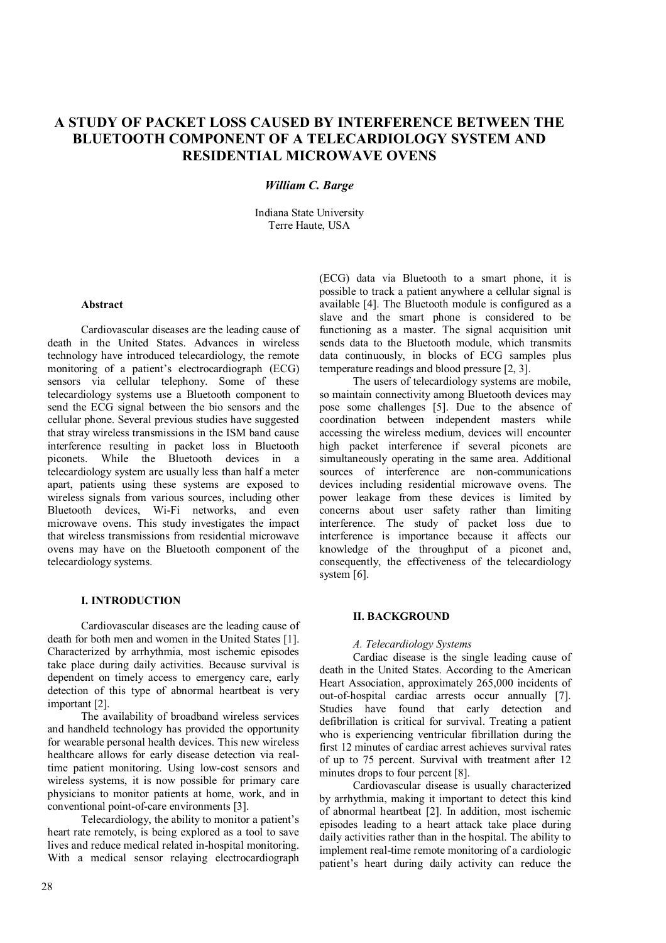# **A STUDY OF PACKET LOSS CAUSED BY INTERFERENCE BETWEEN THE BLUETOOTH COMPONENT OF A TELECARDIOLOGY SYSTEM AND RESIDENTIAL MICROWAVE OVENS**

## *William C. Barge*

Indiana State University Terre Haute, USA

## **Abstract**

Cardiovascular diseases are the leading cause of death in the United States. Advances in wireless technology have introduced telecardiology, the remote monitoring of a patient's electrocardiograph (ECG) sensors via cellular telephony. Some of these telecardiology systems use a Bluetooth component to send the ECG signal between the bio sensors and the cellular phone. Several previous studies have suggested that stray wireless transmissions in the ISM band cause interference resulting in packet loss in Bluetooth piconets. While the Bluetooth devices in a telecardiology system are usually less than half a meter apart, patients using these systems are exposed to wireless signals from various sources, including other Bluetooth devices, Wi-Fi networks, and even microwave ovens. This study investigates the impact that wireless transmissions from residential microwave ovens may have on the Bluetooth component of the telecardiology systems.

## **I. INTRODUCTION**

Cardiovascular diseases are the leading cause of death for both men and women in the United States [1]. Characterized by arrhythmia, most ischemic episodes take place during daily activities. Because survival is dependent on timely access to emergency care, early detection of this type of abnormal heartbeat is very important [2].

The availability of broadband wireless services and handheld technology has provided the opportunity for wearable personal health devices. This new wireless healthcare allows for early disease detection via realtime patient monitoring. Using low-cost sensors and wireless systems, it is now possible for primary care physicians to monitor patients at home, work, and in conventional point-of-care environments [3].

Telecardiology, the ability to monitor a patient's heart rate remotely, is being explored as a tool to save lives and reduce medical related in-hospital monitoring. With a medical sensor relaying electrocardiograph (ECG) data via Bluetooth to a smart phone, it is possible to track a patient anywhere a cellular signal is available [4]. The Bluetooth module is configured as a slave and the smart phone is considered to be functioning as a master. The signal acquisition unit sends data to the Bluetooth module, which transmits data continuously, in blocks of ECG samples plus temperature readings and blood pressure [2, 3].

The users of telecardiology systems are mobile, so maintain connectivity among Bluetooth devices may pose some challenges [5]. Due to the absence of coordination between independent masters while accessing the wireless medium, devices will encounter high packet interference if several piconets are simultaneously operating in the same area. Additional sources of interference are non-communications devices including residential microwave ovens. The power leakage from these devices is limited by concerns about user safety rather than limiting interference. The study of packet loss due to interference is importance because it affects our knowledge of the throughput of a piconet and, consequently, the effectiveness of the telecardiology system [6].

## **II. BACKGROUND**

## *A. Telecardiology Systems*

Cardiac disease is the single leading cause of death in the United States. According to the American Heart Association, approximately 265,000 incidents of out-of-hospital cardiac arrests occur annually [7]. Studies have found that early detection and defibrillation is critical for survival. Treating a patient who is experiencing ventricular fibrillation during the first 12 minutes of cardiac arrest achieves survival rates of up to 75 percent. Survival with treatment after 12 minutes drops to four percent [8].

Cardiovascular disease is usually characterized by arrhythmia, making it important to detect this kind of abnormal heartbeat [2]. In addition, most ischemic episodes leading to a heart attack take place during daily activities rather than in the hospital. The ability to implement real-time remote monitoring of a cardiologic patient's heart during daily activity can reduce the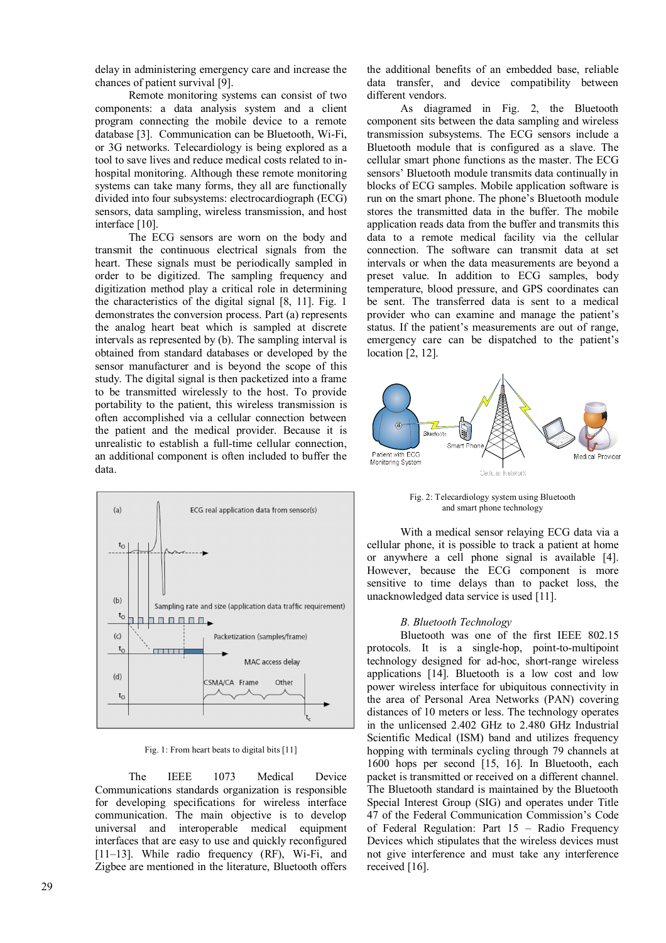delay in administering emergency care and increase the chances of patient survival [9].

Remote monitoring systems can consist of two components: a data analysis system and a client program connecting the mobile device to a remote database [3]. Communication can be Bluetooth, Wi-Fi, or 3G networks. Telecardiology is being explored as a tool to save lives and reduce medical costs related to inhospital monitoring. Although these remote monitoring systems can take many forms, they all are functionally divided into four subsystems: electrocardiograph (ECG) sensors, data sampling, wireless transmission, and host interface [10].

The ECG sensors are worn on the body and transmit the continuous electrical signals from the heart. These signals must be periodically sampled in order to be digitized. The sampling frequency and digitization method play a critical role in determining the characteristics of the digital signal [8, 11]. Fig. 1 demonstrates the conversion process. Part (a) represents the analog heart beat which is sampled at discrete intervals as represented by (b). The sampling interval is obtained from standard databases or developed by the sensor manufacturer and is beyond the scope of this study. The digital signal is then packetized into a frame to be transmitted wirelessly to the host. To provide portability to the patient, this wireless transmission is often accomplished via a cellular connection between the patient and the medical provider. Because it is unrealistic to establish a full-time cellular connection, an additional component is often included to buffer the data.



Fig. 1: From heart beats to digital bits [11]

The IEEE 1073 Medical Device Communications standards organization is responsible for developing specifications for wireless interface communication. The main objective is to develop universal and interoperable medical equipment interfaces that are easy to use and quickly reconfigured [11–13]. While radio frequency (RF), Wi-Fi, and Zigbee are mentioned in the literature, Bluetooth offers the additional benefits of an embedded base, reliable data transfer, and device compatibility between different vendors.

As diagramed in Fig. 2, the Bluetooth component sits between the data sampling and wireless transmission subsystems. The ECG sensors include a Bluetooth module that is configured as a slave. The cellular smart phone functions as the master. The ECG sensors' Bluetooth module transmits data continually in blocks of ECG samples. Mobile application software is run on the smart phone. The phone's Bluetooth module stores the transmitted data in the buffer. The mobile application reads data from the buffer and transmits this data to a remote medical facility via the cellular connection. The software can transmit data at set intervals or when the data measurements are beyond a preset value. In addition to ECG samples, body temperature, blood pressure, and GPS coordinates can be sent. The transferred data is sent to a medical provider who can examine and manage the patient's status. If the patient's measurements are out of range, emergency care can be dispatched to the patient's location [2, 12].



Fig. 2: Telecardiology system using Bluetooth and smart phone technology

With a medical sensor relaying ECG data via a cellular phone, it is possible to track a patient at home or anywhere a cell phone signal is available [4]. However, because the ECG component is more sensitive to time delays than to packet loss, the unacknowledged data service is used [11].

## *B. Bluetooth Technology*

Bluetooth was one of the first IEEE 802.15 protocols. It is a single-hop, point-to-multipoint technology designed for ad-hoc, short-range wireless applications [14]. Bluetooth is a low cost and low power wireless interface for ubiquitous connectivity in the area of Personal Area Networks (PAN) covering distances of 10 meters or less. The technology operates in the unlicensed 2.402 GHz to 2.480 GHz Industrial Scientific Medical (ISM) band and utilizes frequency hopping with terminals cycling through 79 channels at 1600 hops per second [15, 16]. In Bluetooth, each packet is transmitted or received on a different channel. The Bluetooth standard is maintained by the Bluetooth Special Interest Group (SIG) and operates under Title 47 of the Federal Communication Commission's Code of Federal Regulation: Part 15 – Radio Frequency Devices which stipulates that the wireless devices must not give interference and must take any interference received [16].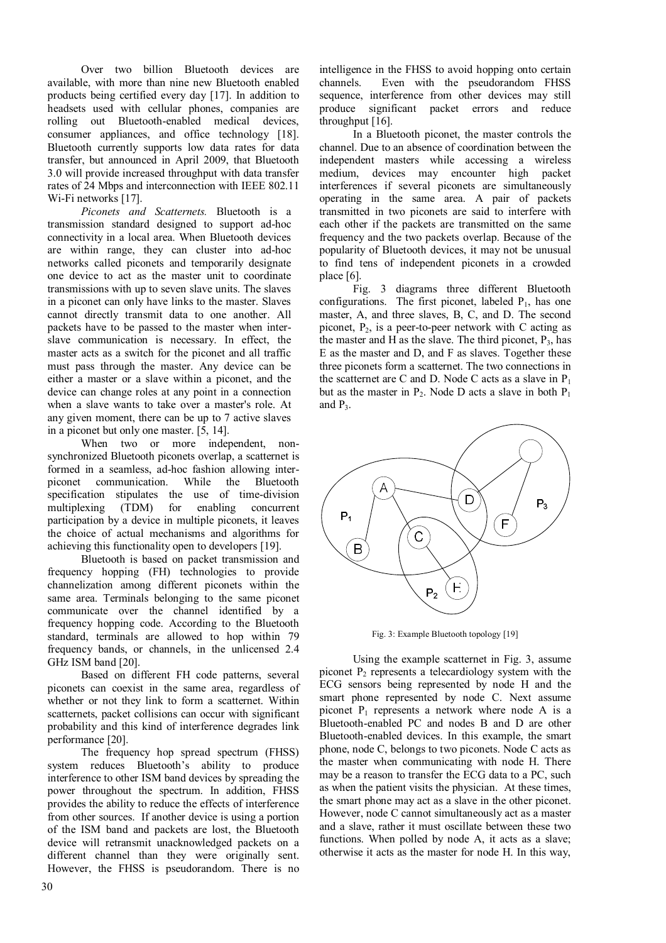Over two billion Bluetooth devices are available, with more than nine new Bluetooth enabled products being certified every day [17]. In addition to headsets used with cellular phones, companies are rolling out Bluetooth-enabled medical devices, consumer appliances, and office technology [18]. Bluetooth currently supports low data rates for data transfer, but announced in April 2009, that Bluetooth 3.0 will provide increased throughput with data transfer rates of 24 Mbps and interconnection with IEEE 802.11 Wi-Fi networks [17].

*Piconets and Scatternets.* Bluetooth is a transmission standard designed to support ad-hoc connectivity in a local area. When Bluetooth devices are within range, they can cluster into ad-hoc networks called piconets and temporarily designate one device to act as the master unit to coordinate transmissions with up to seven slave units. The slaves in a piconet can only have links to the master. Slaves cannot directly transmit data to one another. All packets have to be passed to the master when interslave communication is necessary. In effect, the master acts as a switch for the piconet and all traffic must pass through the master. Any device can be either a master or a slave within a piconet, and the device can change roles at any point in a connection when a slave wants to take over a master's role. At any given moment, there can be up to 7 active slaves in a piconet but only one master. [5, 14].

When two or more independent. synchronized Bluetooth piconets overlap, a scatternet is formed in a seamless, ad-hoc fashion allowing inter-<br>piconet communication. While the Bluetooth piconet communication. While the Bluetooth specification stipulates the use of time-division multiplexing (TDM) for enabling concurrent participation by a device in multiple piconets, it leaves the choice of actual mechanisms and algorithms for achieving this functionality open to developers [19].

Bluetooth is based on packet transmission and frequency hopping (FH) technologies to provide channelization among different piconets within the same area. Terminals belonging to the same piconet communicate over the channel identified by a frequency hopping code. According to the Bluetooth standard, terminals are allowed to hop within 79 frequency bands, or channels, in the unlicensed 2.4 GHz ISM band [20].

Based on different FH code patterns, several piconets can coexist in the same area, regardless of whether or not they link to form a scatternet. Within scatternets, packet collisions can occur with significant probability and this kind of interference degrades link performance [20].

The frequency hop spread spectrum (FHSS) system reduces Bluetooth's ability to produce interference to other ISM band devices by spreading the power throughout the spectrum. In addition, FHSS provides the ability to reduce the effects of interference from other sources. If another device is using a portion of the ISM band and packets are lost, the Bluetooth device will retransmit unacknowledged packets on a different channel than they were originally sent. However, the FHSS is pseudorandom. There is no

intelligence in the FHSS to avoid hopping onto certain channels. Even with the pseudorandom FHSS sequence, interference from other devices may still produce significant packet errors and reduce throughput [16].

In a Bluetooth piconet, the master controls the channel. Due to an absence of coordination between the independent masters while accessing a wireless medium, devices may encounter high packet interferences if several piconets are simultaneously operating in the same area. A pair of packets transmitted in two piconets are said to interfere with each other if the packets are transmitted on the same frequency and the two packets overlap. Because of the popularity of Bluetooth devices, it may not be unusual to find tens of independent piconets in a crowded place [6].

Fig. 3 diagrams three different Bluetooth configurations. The first piconet, labeled  $P_1$ , has one master, A, and three slaves, B, C, and D. The second piconet,  $P_2$ , is a peer-to-peer network with C acting as the master and H as the slave. The third piconet,  $P_3$ , has E as the master and D, and F as slaves. Together these three piconets form a scatternet. The two connections in the scatternet are C and D. Node C acts as a slave in  $P_1$ but as the master in  $P_2$ . Node D acts a slave in both  $P_1$ and  $P_3$ .



Fig. 3: Example Bluetooth topology [19]

Using the example scatternet in Fig. 3, assume piconet  $P_2$  represents a telecardiology system with the ECG sensors being represented by node H and the smart phone represented by node C. Next assume piconet  $P_1$  represents a network where node A is a Bluetooth-enabled PC and nodes B and D are other Bluetooth-enabled devices. In this example, the smart phone, node C, belongs to two piconets. Node C acts as the master when communicating with node H. There may be a reason to transfer the ECG data to a PC, such as when the patient visits the physician. At these times, the smart phone may act as a slave in the other piconet. However, node C cannot simultaneously act as a master and a slave, rather it must oscillate between these two functions. When polled by node A, it acts as a slave; otherwise it acts as the master for node H. In this way,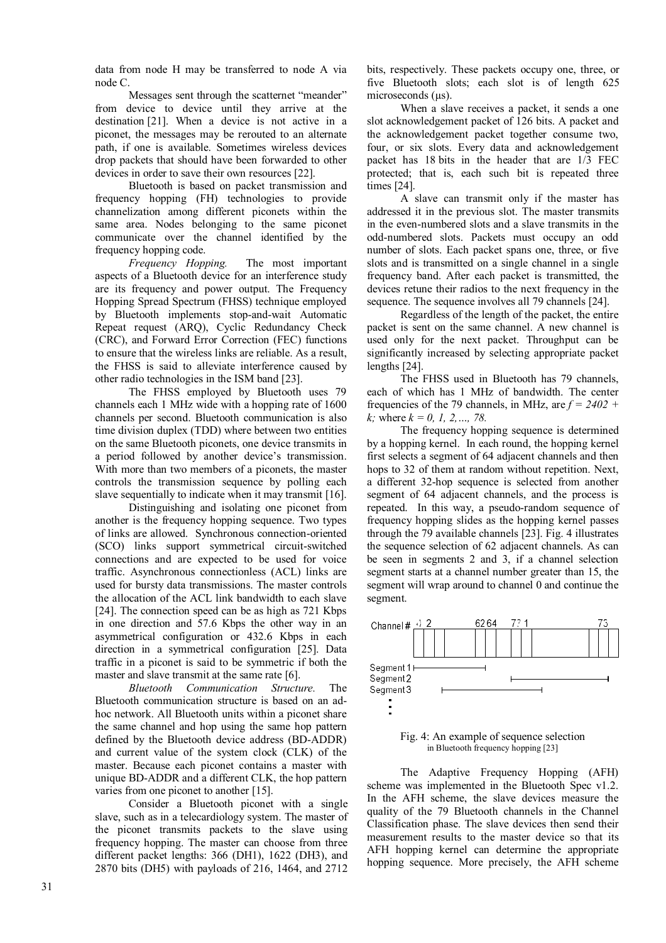data from node H may be transferred to node A via node C.

Messages sent through the scatternet "meander" from device to device until they arrive at the destination [21]. When a device is not active in a piconet, the messages may be rerouted to an alternate path, if one is available. Sometimes wireless devices drop packets that should have been forwarded to other devices in order to save their own resources [22].

Bluetooth is based on packet transmission and frequency hopping (FH) technologies to provide channelization among different piconets within the same area. Nodes belonging to the same piconet communicate over the channel identified by the frequency hopping code.

*Frequency Hopping.* The most important aspects of a Bluetooth device for an interference study are its frequency and power output. The Frequency Hopping Spread Spectrum (FHSS) technique employed by Bluetooth implements stop-and-wait Automatic Repeat request (ARQ), Cyclic Redundancy Check (CRC), and Forward Error Correction (FEC) functions to ensure that the wireless links are reliable. As a result, the FHSS is said to alleviate interference caused by other radio technologies in the ISM band [23].

The FHSS employed by Bluetooth uses 79 channels each 1 MHz wide with a hopping rate of 1600 channels per second. Bluetooth communication is also time division duplex (TDD) where between two entities on the same Bluetooth piconets, one device transmits in a period followed by another device's transmission. With more than two members of a piconets, the master controls the transmission sequence by polling each slave sequentially to indicate when it may transmit [16].

Distinguishing and isolating one piconet from another is the frequency hopping sequence. Two types of links are allowed. Synchronous connection-oriented (SCO) links support symmetrical circuit-switched connections and are expected to be used for voice traffic. Asynchronous connectionless (ACL) links are used for bursty data transmissions. The master controls the allocation of the ACL link bandwidth to each slave [24]. The connection speed can be as high as 721 Kbps in one direction and 57.6 Kbps the other way in an asymmetrical configuration or 432.6 Kbps in each direction in a symmetrical configuration [25]. Data traffic in a piconet is said to be symmetric if both the master and slave transmit at the same rate [6].

*Bluetooth Communication Structure.* The Bluetooth communication structure is based on an adhoc network. All Bluetooth units within a piconet share the same channel and hop using the same hop pattern defined by the Bluetooth device address (BD-ADDR) and current value of the system clock (CLK) of the master. Because each piconet contains a master with unique BD-ADDR and a different CLK, the hop pattern varies from one piconet to another [15].

Consider a Bluetooth piconet with a single slave, such as in a telecardiology system. The master of the piconet transmits packets to the slave using frequency hopping. The master can choose from three different packet lengths: 366 (DH1), 1622 (DH3), and 2870 bits (DH5) with payloads of 216, 1464, and 2712

bits, respectively. These packets occupy one, three, or five Bluetooth slots; each slot is of length 625 microseconds ( $\mu$ s).

When a slave receives a packet, it sends a one slot acknowledgement packet of 126 bits. A packet and the acknowledgement packet together consume two, four, or six slots. Every data and acknowledgement packet has 18 bits in the header that are 1/3 FEC protected; that is, each such bit is repeated three times [24].

A slave can transmit only if the master has addressed it in the previous slot. The master transmits in the even-numbered slots and a slave transmits in the odd-numbered slots. Packets must occupy an odd number of slots. Each packet spans one, three, or five slots and is transmitted on a single channel in a single frequency band. After each packet is transmitted, the devices retune their radios to the next frequency in the sequence. The sequence involves all 79 channels [24].

Regardless of the length of the packet, the entire packet is sent on the same channel. A new channel is used only for the next packet. Throughput can be significantly increased by selecting appropriate packet lengths [24].

The FHSS used in Bluetooth has 79 channels, each of which has 1 MHz of bandwidth. The center frequencies of the 79 channels, in MHz, are  $f = 2402 +$ *k;* where *k = 0, 1, 2,…, 78.*

The frequency hopping sequence is determined by a hopping kernel. In each round, the hopping kernel first selects a segment of 64 adjacent channels and then hops to 32 of them at random without repetition. Next, a different 32-hop sequence is selected from another segment of 64 adjacent channels, and the process is repeated. In this way, a pseudo-random sequence of frequency hopping slides as the hopping kernel passes through the 79 available channels [23]. Fig. 4 illustrates the sequence selection of 62 adjacent channels. As can be seen in segments 2 and 3, if a channel selection segment starts at a channel number greater than 15, the segment will wrap around to channel 0 and continue the segment.



Fig. 4: An example of sequence selection in Bluetooth frequency hopping [23]

The Adaptive Frequency Hopping (AFH) scheme was implemented in the Bluetooth Spec v1.2. In the AFH scheme, the slave devices measure the quality of the 79 Bluetooth channels in the Channel Classification phase. The slave devices then send their measurement results to the master device so that its AFH hopping kernel can determine the appropriate hopping sequence. More precisely, the AFH scheme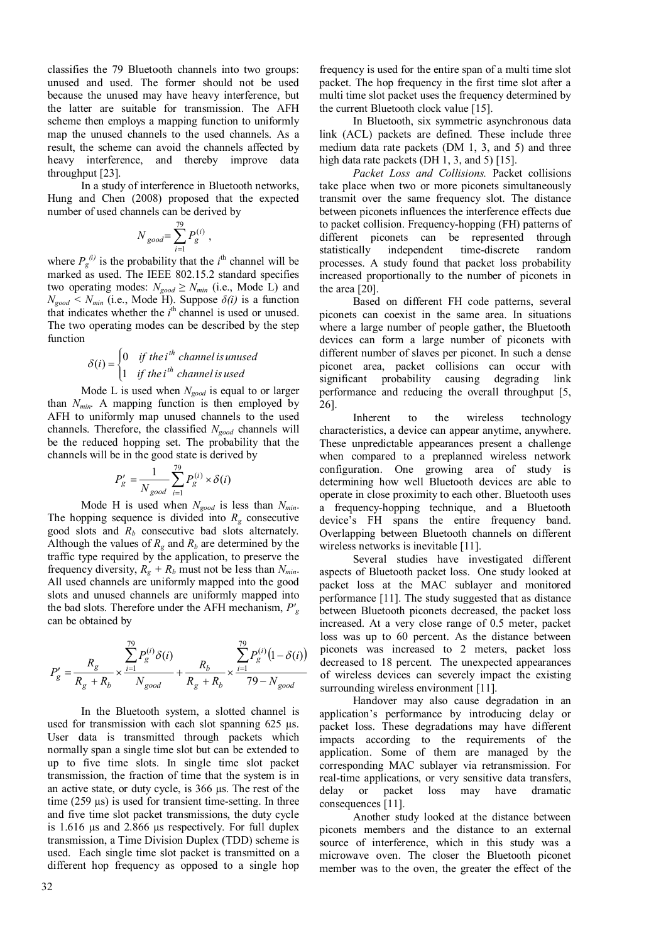classifies the 79 Bluetooth channels into two groups: unused and used. The former should not be used because the unused may have heavy interference, but the latter are suitable for transmission. The AFH scheme then employs a mapping function to uniformly map the unused channels to the used channels. As a result, the scheme can avoid the channels affected by heavy interference, and thereby improve data throughput [23].

In a study of interference in Bluetooth networks, Hung and Chen (2008) proposed that the expected number of used channels can be derived by

$$
N_{\text{good}} = \sum_{i=1}^{79} P_g^{(i)} ,
$$

where  $P_g^{(i)}$  is the probability that the *i*<sup>th</sup> channel will be marked as used. The IEEE 802.15.2 standard specifies two operating modes:  $N_{good} \geq N_{min}$  (i.e., Mode L) and  $N_{good}$ <sup> $\leq N_{min}$ </sup> (i.e., Mode H). Suppose  $\delta(i)$  is a function that indicates whether the  $i<sup>th</sup>$  channel is used or unused. The two operating modes can be described by the step function

#### $\overline{\mathcal{L}}$  $\left\{ \right.$  $=\left\{\right.$ *if the i channel is used*  $i$ ) =  $\begin{cases} 0 & \text{if the } i^{\textit{th}} \text{ channel is unused} \\ 1 & \text{if the } i^{\textit{th}} \text{ channel is used} \end{cases}$ *th* 1  $\delta(i) = \begin{cases} 0 \\ 0 \end{cases}$

Mode L is used when *Ngood* is equal to or larger than *Nmin.* A mapping function is then employed by AFH to uniformly map unused channels to the used channels. Therefore, the classified *Ngood* channels will be the reduced hopping set. The probability that the channels will be in the good state is derived by

$$
P'_{g} = \frac{1}{N_{good}} \sum_{i=1}^{79} P_{g}^{(i)} \times \delta(i)
$$

Mode H is used when *Ngood* is less than *Nmin*. The hopping sequence is divided into  $R_g$  consecutive good slots and *Rb* consecutive bad slots alternately. Although the values of  $R_g$  and  $R_b$  are determined by the traffic type required by the application, to preserve the frequency diversity,  $R_g + R_b$  must not be less than  $N_{min}$ . All used channels are uniformly mapped into the good slots and unused channels are uniformly mapped into the bad slots. Therefore under the AFH mechanism, *P′<sup>g</sup>* can be obtained by

$$
P'_{g} = \frac{R_{g}}{R_{g} + R_{b}} \times \frac{\sum_{i=1}^{79} P_{g}^{(i)} \delta(i)}{N_{good}} + \frac{R_{b}}{R_{g} + R_{b}} \times \frac{\sum_{i=1}^{79} P_{g}^{(i)} (1 - \delta(i))}{79 - N_{good}}
$$

In the Bluetooth system, a slotted channel is used for transmission with each slot spanning 625 µs. User data is transmitted through packets which normally span a single time slot but can be extended to up to five time slots. In single time slot packet transmission, the fraction of time that the system is in an active state, or duty cycle, is 366 µs. The rest of the time (259 µs) is used for transient time-setting. In three and five time slot packet transmissions, the duty cycle is 1.616 µs and 2.866 µs respectively. For full duplex transmission, a Time Division Duplex (TDD) scheme is used. Each single time slot packet is transmitted on a different hop frequency as opposed to a single hop

frequency is used for the entire span of a multi time slot packet. The hop frequency in the first time slot after a multi time slot packet uses the frequency determined by the current Bluetooth clock value [15].

In Bluetooth, six symmetric asynchronous data link (ACL) packets are defined. These include three medium data rate packets (DM 1, 3, and 5) and three high data rate packets (DH 1, 3, and 5) [15].

*Packet Loss and Collisions.* Packet collisions take place when two or more piconets simultaneously transmit over the same frequency slot. The distance between piconets influences the interference effects due to packet collision. Frequency-hopping (FH) patterns of different piconets can be represented through<br>statistically independent time-discrete random independent time-discrete random processes. A study found that packet loss probability increased proportionally to the number of piconets in the area [20].

Based on different FH code patterns, several piconets can coexist in the same area. In situations where a large number of people gather, the Bluetooth devices can form a large number of piconets with different number of slaves per piconet. In such a dense piconet area, packet collisions can occur with significant probability causing degrading link performance and reducing the overall throughput [5, 26].

Inherent to the wireless technology characteristics, a device can appear anytime, anywhere. These unpredictable appearances present a challenge when compared to a preplanned wireless network configuration. One growing area of study is determining how well Bluetooth devices are able to operate in close proximity to each other. Bluetooth uses a frequency-hopping technique, and a Bluetooth device's FH spans the entire frequency band. Overlapping between Bluetooth channels on different wireless networks is inevitable [11].

Several studies have investigated different aspects of Bluetooth packet loss. One study looked at packet loss at the MAC sublayer and monitored performance [11]. The study suggested that as distance between Bluetooth piconets decreased, the packet loss increased. At a very close range of 0.5 meter, packet loss was up to 60 percent. As the distance between piconets was increased to 2 meters, packet loss decreased to 18 percent. The unexpected appearances of wireless devices can severely impact the existing surrounding wireless environment [11].

Handover may also cause degradation in an application's performance by introducing delay or packet loss. These degradations may have different impacts according to the requirements of the application. Some of them are managed by the corresponding MAC sublayer via retransmission. For real-time applications, or very sensitive data transfers, delay or packet loss may have dramatic consequences [11].

Another study looked at the distance between piconets members and the distance to an external source of interference, which in this study was a microwave oven. The closer the Bluetooth piconet member was to the oven, the greater the effect of the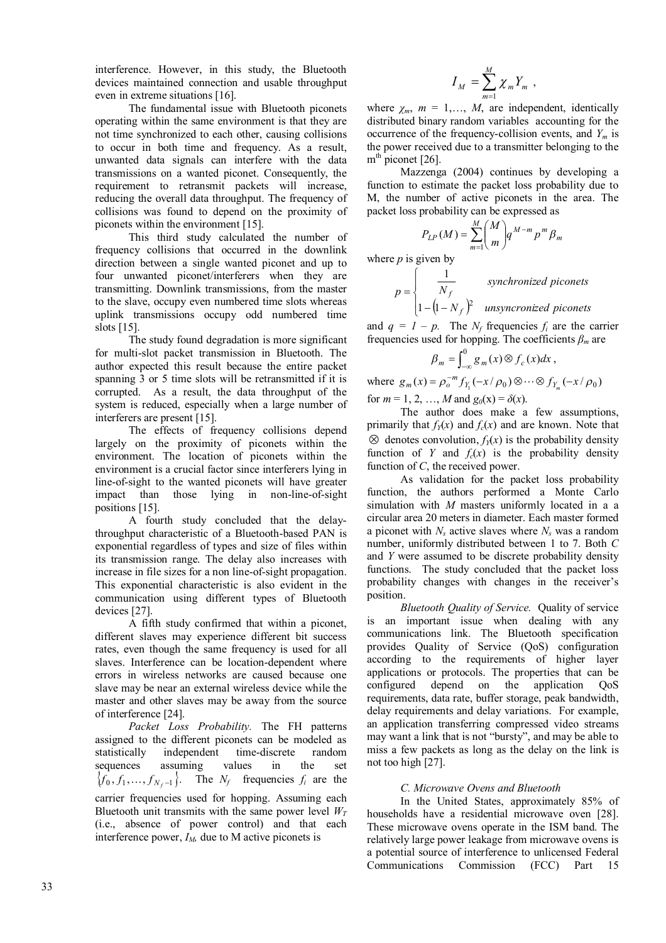interference. However, in this study, the Bluetooth devices maintained connection and usable throughput even in extreme situations [16].

The fundamental issue with Bluetooth piconets operating within the same environment is that they are not time synchronized to each other, causing collisions to occur in both time and frequency. As a result, unwanted data signals can interfere with the data transmissions on a wanted piconet. Consequently, the requirement to retransmit packets will increase, reducing the overall data throughput. The frequency of collisions was found to depend on the proximity of piconets within the environment [15].

This third study calculated the number of frequency collisions that occurred in the downlink direction between a single wanted piconet and up to four unwanted piconet/interferers when they are transmitting. Downlink transmissions, from the master to the slave, occupy even numbered time slots whereas uplink transmissions occupy odd numbered time slots [15].

The study found degradation is more significant for multi-slot packet transmission in Bluetooth. The author expected this result because the entire packet spanning 3 or 5 time slots will be retransmitted if it is corrupted. As a result, the data throughput of the system is reduced, especially when a large number of interferers are present [15].

The effects of frequency collisions depend largely on the proximity of piconets within the environment. The location of piconets within the environment is a crucial factor since interferers lying in line-of-sight to the wanted piconets will have greater impact than those lying in non-line-of-sight positions [15].

A fourth study concluded that the delaythroughput characteristic of a Bluetooth-based PAN is exponential regardless of types and size of files within its transmission range. The delay also increases with increase in file sizes for a non line-of-sight propagation. This exponential characteristic is also evident in the communication using different types of Bluetooth devices [27].

A fifth study confirmed that within a piconet, different slaves may experience different bit success rates, even though the same frequency is used for all slaves. Interference can be location-dependent where errors in wireless networks are caused because one slave may be near an external wireless device while the master and other slaves may be away from the source of interference [24].

*Packet Loss Probability.* The FH patterns assigned to the different piconets can be modeled as statistically independent time-discrete random sequences assuming values in the set  $\{f_0, f_1, \ldots, f_{N_f-1}\}$ . The  $N_f$  frequencies  $f_i$  are the carrier frequencies used for hopping. Assuming each Bluetooth unit transmits with the same power level  $W_T$ (i.e., absence of power control) and that each interference power,  $I_M$ , due to M active piconets is

$$
I_M = \sum_{m=1}^M \chi_m Y_m ,
$$

where  $\chi_m$ ,  $m = 1, \ldots, M$ , are independent, identically distributed binary random variables accounting for the occurrence of the frequency-collision events, and *Ym* is the power received due to a transmitter belonging to the m<sup>th</sup> piconet [26].

Mazzenga (2004) continues by developing a function to estimate the packet loss probability due to M, the number of active piconets in the area. The packet loss probability can be expressed as

$$
P_{LP}(M) = \sum_{m=1}^{M} {M \choose m} q^{M-m} p^m \beta_m
$$

where  $p$  is given by

$$
p = \begin{cases} \frac{1}{N_f} & synchronized \text{ }p \text{ is } 1 - (1 - N_f)^2 & \text{ }unsynchronized \text{ }p \text{ is } 1 - (1 - N_f)^2 & \text{ }unsynchronized \text{ }p \text{ is } 1 - (1 - N_f)^2 & \text{ }unsynchronized \text{ }p \text{ is } 1 - (1 - N_f)^2 & \text{ }unsynchronized \text{ }p \text{ is } 1 - (1 - N_f)^2 & \text{ }unsynchronized \text{ }p \text{ is } 1 - (1 - N_f)^2 & \text{ }unsynchronized \text{ }p \text{ is } 1 - (1 - N_f)^2 & \text{ }unsynchronized \text{ }p \text{ is } 1 - (1 - N_f)^2 & \text{ }unsynchronized \text{ }p \text{ is } 1 - (1 - N_f)^2 & \text{ }unsynchronized \text{ }p \text{ is } 1 - (1 - N_f)^2 & \text{ }unsynchronized \text{ }p \text{ is } 1 - (1 - N_f)^2 & \text{ }unsynchronized \text{ }p \text{ is } 1 - (1 - N_f)^2 & \text{ }unsynchronized \text{ }p \text{ is } 1 - (1 - N_f)^2 & \text{ }unsynchronized \text{ }p \text{ is } 1 - (1 - N_f)^2 & \text{ }unsynchronized \text{ }p \text{ is } 1 - (1 - N_f)^2 & \text{ }unsynchronized \text{ }p \text{ is } 1 - (1 - N_f)^2 & \text{ }unsynchronized \text{ }p \text{ is } 1 - (1 - N_f)^2 & \text{ }unsynchronized \text{ }p \text{ is } 1 - (1 - N_f)^2 & \text{ }unsynchronized \text{ }p \text{ is } 1 - (1 - N_f)^2 & \text{ }unsynchronized \text{ }p \text{ is } 1 - (1 - N_f)^2 & \text{ }unsynchronized \text{ }p \text{ is } 1 - (1 - N_f)^2 & \text{ }unsynchronized \text{ }p \text{ is } 1 - (1 - N_f)^2 & \text{ }unsynchronized \text{ }p \text{ is } 1 - (1 - N_f)^2 & \text{ }unsynchronized \text{ }p \text{ is } 1 - (1 - N_f)^2 & \text{ }... & \text{ }... & \text{ }... & \text{ }... & \text{ }... & \text{ }... & \text{ }... & \text{ }... & \text{ }... & \text{ }... & \text{ }... & \text{ }... & \text{ }
$$

and  $q = 1 - p$ . The  $N_f$  frequencies  $f_i$  are the carrier frequencies used for hopping. The coefficients *β<sup>m</sup>* are

$$
\beta_m = \int_{-\infty}^0 g_m(x) \otimes f_c(x) dx,
$$

where  $g_m(x) = \rho_o^{-m} f_{Y_1}(-x/\rho_0) \otimes \cdots \otimes f_{Y_m}(-x/\rho_0)$ for  $m = 1, 2, ..., M$  and  $g_0(x) = \delta(x)$ .

The author does make a few assumptions, primarily that  $f_y(x)$  and  $f_c(x)$  and are known. Note that  $\otimes$  denotes convolution,  $f_Y(x)$  is the probability density function of *Y* and  $f_c(x)$  is the probability density function of *C*, the received power.

As validation for the packet loss probability function, the authors performed a Monte Carlo simulation with *M* masters uniformly located in a a circular area 20 meters in diameter. Each master formed a piconet with  $N_s$  active slaves where  $N_s$  was a random number, uniformly distributed between 1 to 7. Both *C* and *Y* were assumed to be discrete probability density functions. The study concluded that the packet loss probability changes with changes in the receiver's position.

*Bluetooth Quality of Service.* Quality of service is an important issue when dealing with any communications link. The Bluetooth specification provides Quality of Service (QoS) configuration according to the requirements of higher layer applications or protocols. The properties that can be configured depend on the application QoS requirements, data rate, buffer storage, peak bandwidth, delay requirements and delay variations. For example, an application transferring compressed video streams may want a link that is not "bursty", and may be able to miss a few packets as long as the delay on the link is not too high [27].

## *C. Microwave Ovens and Bluetooth*

In the United States, approximately 85% of households have a residential microwave oven [28]. These microwave ovens operate in the ISM band. The relatively large power leakage from microwave ovens is a potential source of interference to unlicensed Federal Communications Commission (FCC) Part 15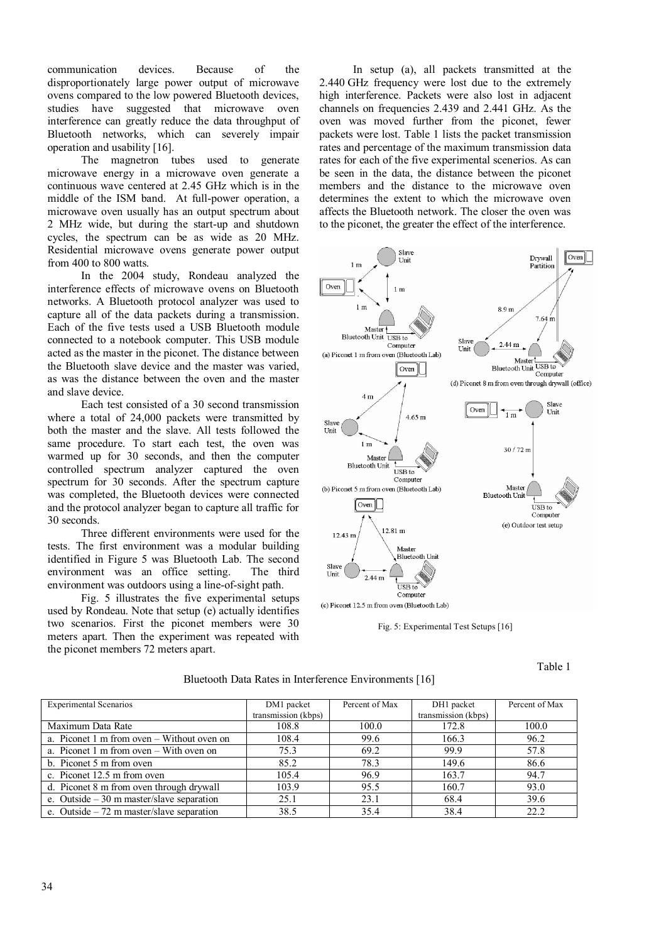communication devices. Because of the disproportionately large power output of microwave ovens compared to the low powered Bluetooth devices, studies have suggested that microwave oven interference can greatly reduce the data throughput of Bluetooth networks, which can severely impair operation and usability [16].

The magnetron tubes used to generate microwave energy in a microwave oven generate a continuous wave centered at 2.45 GHz which is in the middle of the ISM band. At full-power operation, a microwave oven usually has an output spectrum about 2 MHz wide, but during the start-up and shutdown cycles, the spectrum can be as wide as 20 MHz. Residential microwave ovens generate power output from 400 to 800 watts.

In the 2004 study, Rondeau analyzed the interference effects of microwave ovens on Bluetooth networks. A Bluetooth protocol analyzer was used to capture all of the data packets during a transmission. Each of the five tests used a USB Bluetooth module connected to a notebook computer. This USB module acted as the master in the piconet. The distance between the Bluetooth slave device and the master was varied, as was the distance between the oven and the master and slave device.

Each test consisted of a 30 second transmission where a total of 24,000 packets were transmitted by both the master and the slave. All tests followed the same procedure. To start each test, the oven was warmed up for 30 seconds, and then the computer controlled spectrum analyzer captured the oven spectrum for 30 seconds. After the spectrum capture was completed, the Bluetooth devices were connected and the protocol analyzer began to capture all traffic for 30 seconds.

Three different environments were used for the tests. The first environment was a modular building identified in Figure 5 was Bluetooth Lab. The second environment was an office setting. The third environment was outdoors using a line-of-sight path.

Fig. 5 illustrates the five experimental setups used by Rondeau. Note that setup (e) actually identifies two scenarios. First the piconet members were 30 meters apart. Then the experiment was repeated with the piconet members 72 meters apart.

In setup (a), all packets transmitted at the 2.440 GHz frequency were lost due to the extremely high interference. Packets were also lost in adjacent channels on frequencies 2.439 and 2.441 GHz. As the oven was moved further from the piconet, fewer packets were lost. Table 1 lists the packet transmission rates and percentage of the maximum transmission data rates for each of the five experimental scenerios. As can be seen in the data, the distance between the piconet members and the distance to the microwave oven determines the extent to which the microwave oven affects the Bluetooth network. The closer the oven was to the piconet, the greater the effect of the interference.



Fig. 5: Experimental Test Setups [16]

Table 1

| <b>Experimental Scenarios</b>              | DM1 packet<br>transmission (kbps) | Percent of Max | DH1 packet<br>transmission (kbps) | Percent of Max |
|--------------------------------------------|-----------------------------------|----------------|-----------------------------------|----------------|
| Maximum Data Rate                          | 108.8                             | 100.0          | 172.8                             | 100.0          |
| a. Piconet 1 m from oven – Without oven on | 108.4                             | 99.6           | 166.3                             | 96.2           |
| a. Piconet 1 m from oven – With oven on    | 75.3                              | 69.2           | 99.9                              | 57.8           |
| b. Piconet 5 m from oven                   | 85.2                              | 78.3           | 149.6                             | 86.6           |
| c. Piconet 12.5 m from oven                | 105.4                             | 96.9           | 163.7                             | 94.7           |
| d. Piconet 8 m from oven through drywall   | 103.9                             | 95.5           | 160.7                             | 93.0           |
| e. Outside $-30$ m master/slave separation | 25.1                              | 23.1           | 68.4                              | 39.6           |
| e. Outside $-72$ m master/slave separation | 38.5                              | 35.4           | 38.4                              | 22.2           |

## Bluetooth Data Rates in Interference Environments [16]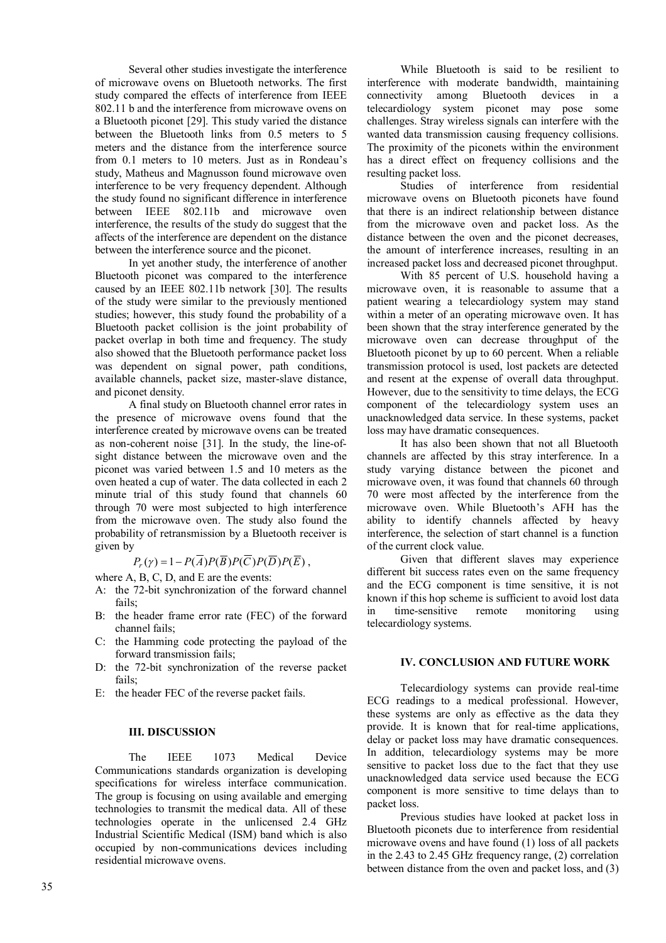Several other studies investigate the interference of microwave ovens on Bluetooth networks. The first study compared the effects of interference from IEEE 802.11 b and the interference from microwave ovens on a Bluetooth piconet [29]. This study varied the distance between the Bluetooth links from 0.5 meters to 5 meters and the distance from the interference source from 0.1 meters to 10 meters. Just as in Rondeau's study, Matheus and Magnusson found microwave oven interference to be very frequency dependent. Although the study found no significant difference in interference between IEEE 802.11b and microwave oven interference, the results of the study do suggest that the affects of the interference are dependent on the distance between the interference source and the piconet.

In yet another study, the interference of another Bluetooth piconet was compared to the interference caused by an IEEE 802.11b network [30]. The results of the study were similar to the previously mentioned studies; however, this study found the probability of a Bluetooth packet collision is the joint probability of packet overlap in both time and frequency. The study also showed that the Bluetooth performance packet loss was dependent on signal power, path conditions, available channels, packet size, master-slave distance, and piconet density.

A final study on Bluetooth channel error rates in the presence of microwave ovens found that the interference created by microwave ovens can be treated as non-coherent noise [31]. In the study, the line-ofsight distance between the microwave oven and the piconet was varied between 1.5 and 10 meters as the oven heated a cup of water. The data collected in each 2 minute trial of this study found that channels 60 through 70 were most subjected to high interference from the microwave oven. The study also found the probability of retransmission by a Bluetooth receiver is given by

# $P_r(\gamma) = 1 - P(A)P(B)P(C)P(D)P(E)$

where A, B, C, D, and E are the events:

- A: the 72-bit synchronization of the forward channel fails;
- B: the header frame error rate (FEC) of the forward channel fails;
- C: the Hamming code protecting the payload of the forward transmission fails;
- D: the 72-bit synchronization of the reverse packet fails;
- E: the header FEC of the reverse packet fails.

## **III. DISCUSSION**

The IEEE 1073 Medical Device Communications standards organization is developing specifications for wireless interface communication. The group is focusing on using available and emerging technologies to transmit the medical data. All of these technologies operate in the unlicensed 2.4 GHz Industrial Scientific Medical (ISM) band which is also occupied by non-communications devices including residential microwave ovens.

While Bluetooth is said to be resilient to interference with moderate bandwidth, maintaining connectivity among Bluetooth devices in a telecardiology system piconet may pose some challenges. Stray wireless signals can interfere with the wanted data transmission causing frequency collisions. The proximity of the piconets within the environment has a direct effect on frequency collisions and the resulting packet loss.

Studies of interference from residential microwave ovens on Bluetooth piconets have found that there is an indirect relationship between distance from the microwave oven and packet loss. As the distance between the oven and the piconet decreases, the amount of interference increases, resulting in an increased packet loss and decreased piconet throughput.

With 85 percent of U.S. household having a microwave oven, it is reasonable to assume that a patient wearing a telecardiology system may stand within a meter of an operating microwave oven. It has been shown that the stray interference generated by the microwave oven can decrease throughput of the Bluetooth piconet by up to 60 percent. When a reliable transmission protocol is used, lost packets are detected and resent at the expense of overall data throughput. However, due to the sensitivity to time delays, the ECG component of the telecardiology system uses an unacknowledged data service. In these systems, packet loss may have dramatic consequences.

It has also been shown that not all Bluetooth channels are affected by this stray interference. In a study varying distance between the piconet and microwave oven, it was found that channels 60 through 70 were most affected by the interference from the microwave oven. While Bluetooth's AFH has the ability to identify channels affected by heavy interference, the selection of start channel is a function of the current clock value.

Given that different slaves may experience different bit success rates even on the same frequency and the ECG component is time sensitive, it is not known if this hop scheme is sufficient to avoid lost data in time-sensitive remote monitoring using telecardiology systems.

## **IV. CONCLUSION AND FUTURE WORK**

Telecardiology systems can provide real-time ECG readings to a medical professional. However, these systems are only as effective as the data they provide. It is known that for real-time applications, delay or packet loss may have dramatic consequences. In addition, telecardiology systems may be more sensitive to packet loss due to the fact that they use unacknowledged data service used because the ECG component is more sensitive to time delays than to packet loss.

Previous studies have looked at packet loss in Bluetooth piconets due to interference from residential microwave ovens and have found (1) loss of all packets in the 2.43 to 2.45 GHz frequency range, (2) correlation between distance from the oven and packet loss, and (3)